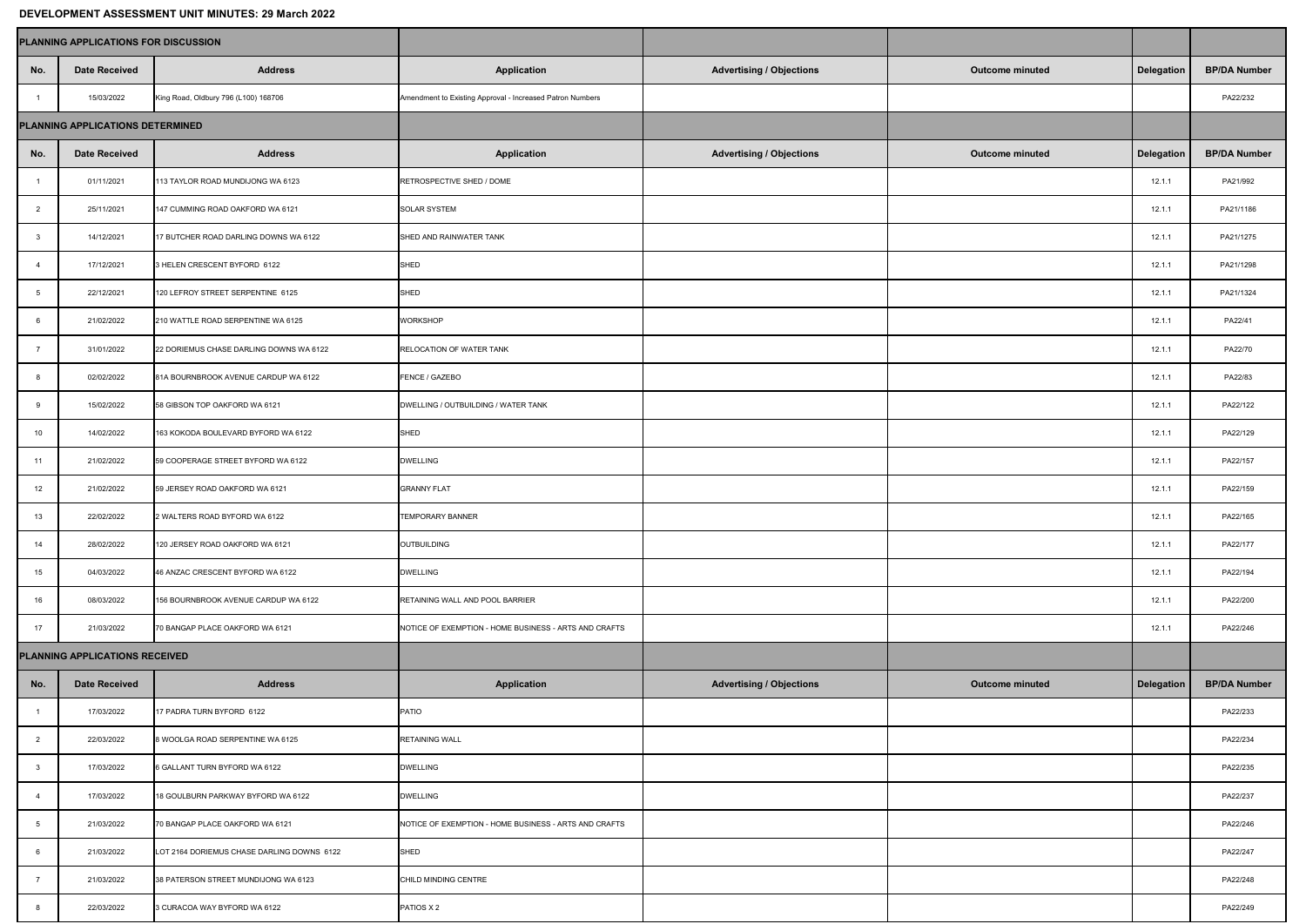## **DEVELOPMENT ASSESSMENT UNIT MINUTES: 29 March 2022**

| <b>PLANNING APPLICATIONS FOR DISCUSSION</b> |                      |                                            |                                                           |                                 |                        |                   |                     |
|---------------------------------------------|----------------------|--------------------------------------------|-----------------------------------------------------------|---------------------------------|------------------------|-------------------|---------------------|
| No.                                         | <b>Date Received</b> | <b>Address</b>                             | <b>Application</b>                                        | <b>Advertising / Objections</b> | <b>Outcome minuted</b> | <b>Delegation</b> | <b>BP/DA Number</b> |
|                                             | 15/03/2022           | King Road, Oldbury 796 (L100) 168706       | Amendment to Existing Approval - Increased Patron Numbers |                                 |                        |                   | PA22/232            |
| PLANNING APPLICATIONS DETERMINED            |                      |                                            |                                                           |                                 |                        |                   |                     |
| No.                                         | <b>Date Received</b> | <b>Address</b>                             | <b>Application</b>                                        | <b>Advertising / Objections</b> | <b>Outcome minuted</b> | <b>Delegation</b> | <b>BP/DA Number</b> |
|                                             | 01/11/2021           | 113 TAYLOR ROAD MUNDIJONG WA 6123          | RETROSPECTIVE SHED / DOME                                 |                                 |                        | 12.1.1            | PA21/992            |
|                                             | 25/11/2021           | 147 CUMMING ROAD OAKFORD WA 6121           | <b>SOLAR SYSTEM</b>                                       |                                 |                        | 12.1.1            | PA21/1186           |
|                                             | 14/12/2021           | 17 BUTCHER ROAD DARLING DOWNS WA 6122      | SHED AND RAINWATER TANK                                   |                                 |                        | 12.1.1            | PA21/1275           |
| -4                                          | 17/12/2021           | 3 HELEN CRESCENT BYFORD 6122               | SHED                                                      |                                 |                        | 12.1.1            | PA21/1298           |
|                                             | 22/12/2021           | 120 LEFROY STREET SERPENTINE 6125          | SHED                                                      |                                 |                        | 12.1.1            | PA21/1324           |
|                                             | 21/02/2022           | 210 WATTLE ROAD SERPENTINE WA 6125         | <b>WORKSHOP</b>                                           |                                 |                        | 12.1.1            | PA22/41             |
|                                             | 31/01/2022           | 22 DORIEMUS CHASE DARLING DOWNS WA 6122    | <b>RELOCATION OF WATER TANK</b>                           |                                 |                        | 12.1.1            | PA22/70             |
|                                             | 02/02/2022           | 81A BOURNBROOK AVENUE CARDUP WA 6122       | <b>FENCE / GAZEBO</b>                                     |                                 |                        | 12.1.1            | PA22/83             |
|                                             | 15/02/2022           | 58 GIBSON TOP OAKFORD WA 6121              | DWELLING / OUTBUILDING / WATER TANK                       |                                 |                        | 12.1.1            | PA22/122            |
| 10                                          | 14/02/2022           | 163 KOKODA BOULEVARD BYFORD WA 6122        | SHED                                                      |                                 |                        | 12.1.1            | PA22/129            |
| 11                                          | 21/02/2022           | 59 COOPERAGE STREET BYFORD WA 6122         | <b>DWELLING</b>                                           |                                 |                        | 12.1.1            | PA22/157            |
| 12                                          | 21/02/2022           | 59 JERSEY ROAD OAKFORD WA 6121             | <b>GRANNY FLAT</b>                                        |                                 |                        | 12.1.1            | PA22/159            |
| 13                                          | 22/02/2022           | 2 WALTERS ROAD BYFORD WA 6122              | <b>TEMPORARY BANNER</b>                                   |                                 |                        | 12.1.1            | PA22/165            |
| 14                                          | 28/02/2022           | 120 JERSEY ROAD OAKFORD WA 6121            | OUTBUILDING                                               |                                 |                        | 12.1.1            | PA22/177            |
| 15                                          | 04/03/2022           | 46 ANZAC CRESCENT BYFORD WA 6122           | <b>DWELLING</b>                                           |                                 |                        | 12.1.1            | PA22/194            |
| 16                                          | 08/03/2022           | 156 BOURNBROOK AVENUE CARDUP WA 6122       | <b>RETAINING WALL AND POOL BARRIER</b>                    |                                 |                        | 12.1.1            | PA22/200            |
| 17                                          | 21/03/2022           | 70 BANGAP PLACE OAKFORD WA 6121            | NOTICE OF EXEMPTION - HOME BUSINESS - ARTS AND CRAFTS     |                                 |                        | 12.1.1            | PA22/246            |
| <b>PLANNING APPLICATIONS RECEIVED</b>       |                      |                                            |                                                           |                                 |                        |                   |                     |
| No.                                         | <b>Date Received</b> | <b>Address</b>                             | <b>Application</b>                                        | <b>Advertising / Objections</b> | <b>Outcome minuted</b> | Delegation        | <b>BP/DA Number</b> |
|                                             | 17/03/2022           | 17 PADRA TURN BYFORD 6122                  | PATIO                                                     |                                 |                        |                   | PA22/233            |
|                                             | 22/03/2022           | 8 WOOLGA ROAD SERPENTINE WA 6125           | <b>RETAINING WALL</b>                                     |                                 |                        |                   | PA22/234            |
|                                             | 17/03/2022           | 6 GALLANT TURN BYFORD WA 6122              | <b>DWELLING</b>                                           |                                 |                        |                   | PA22/235            |
|                                             | 17/03/2022           | 18 GOULBURN PARKWAY BYFORD WA 6122         | <b>DWELLING</b>                                           |                                 |                        |                   | PA22/237            |
|                                             | 21/03/2022           | 70 BANGAP PLACE OAKFORD WA 6121            | NOTICE OF EXEMPTION - HOME BUSINESS - ARTS AND CRAFTS     |                                 |                        |                   | PA22/246            |
| 6                                           | 21/03/2022           | LOT 2164 DORIEMUS CHASE DARLING DOWNS 6122 | SHED                                                      |                                 |                        |                   | PA22/247            |
|                                             | 21/03/2022           | 38 PATERSON STREET MUNDIJONG WA 6123       | CHILD MINDING CENTRE                                      |                                 |                        |                   | PA22/248            |
| 8                                           | 22/03/2022           | 3 CURACOA WAY BYFORD WA 6122               | PATIOS X 2                                                |                                 |                        |                   | PA22/249            |